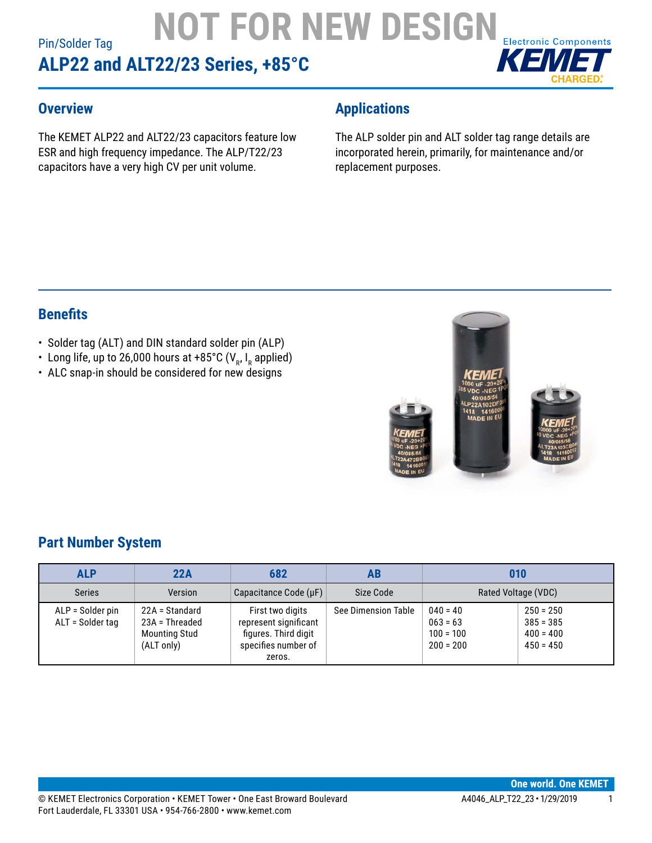### Pin/Solder Tag **ALP22 and ALT22/23 Series, +85°C NOT FOR NEW DESIGN<br>22/23 Series. +85°C**



#### **Overview**

The KEMET ALP22 and ALT22/23 capacitors feature low ESR and high frequency impedance. The ALP/T22/23 capacitors have a very high CV per unit volume.

### **Applications**

The ALP solder pin and ALT solder tag range details are incorporated herein, primarily, for maintenance and/or replacement purposes.

#### **Benefits**

- Solder tag (ALT) and DIN standard solder pin (ALP)
- Long life, up to 26,000 hours at +85°C (V<sub>R</sub>, I<sub>R</sub> applied)
- ALC snap-in should be considered for new designs



#### **Part Number System**

| <b>ALP</b>                           | 22A                                                                      | 682                                                                                                | AB                         | 010                                                    |                                                          |
|--------------------------------------|--------------------------------------------------------------------------|----------------------------------------------------------------------------------------------------|----------------------------|--------------------------------------------------------|----------------------------------------------------------|
| <b>Series</b>                        | Version                                                                  | Capacitance Code $(\mu F)$                                                                         | Size Code                  | Rated Voltage (VDC)                                    |                                                          |
| ALP = Solder pin<br>ALT = Solder tag | 22A = Standard<br>$23A =$ Threaded<br><b>Mounting Stud</b><br>(ALT only) | First two digits<br>represent significant<br>figures. Third digit<br>specifies number of<br>zeros. | <b>See Dimension Table</b> | $040 = 40$<br>$063 = 63$<br>$100 = 100$<br>$200 = 200$ | $250 = 250$<br>$385 = 385$<br>$400 = 400$<br>$450 = 450$ |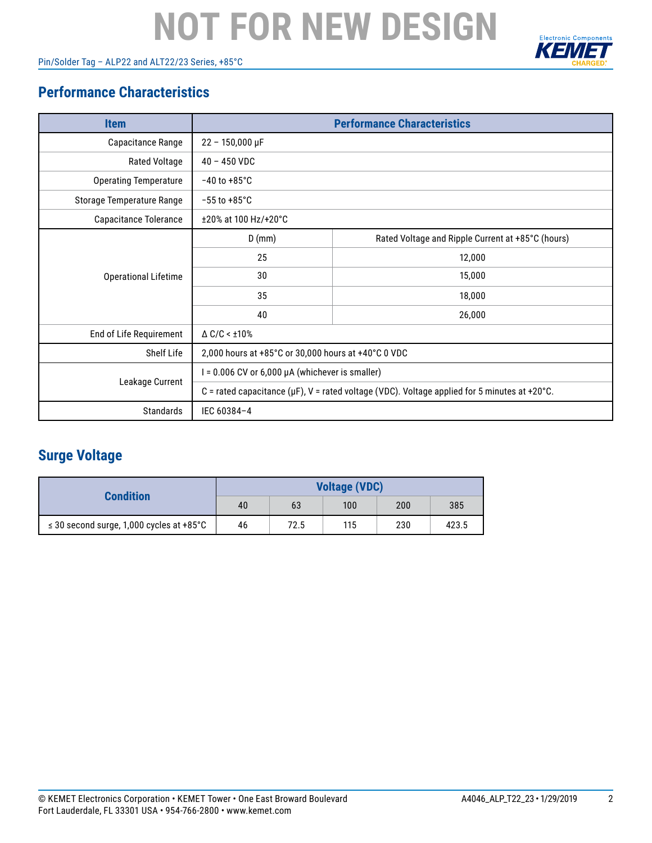Pin/Solder Tag – ALP22 and ALT22/23 Series, +85°C



#### **Performance Characteristics**

| <b>Item</b>                  | <b>Performance Characteristics</b>                                                                 |                                                   |  |  |  |
|------------------------------|----------------------------------------------------------------------------------------------------|---------------------------------------------------|--|--|--|
| Capacitance Range            | $22 - 150,000 \,\text{µF}$                                                                         |                                                   |  |  |  |
| <b>Rated Voltage</b>         | $40 - 450$ VDC                                                                                     |                                                   |  |  |  |
| <b>Operating Temperature</b> | $-40$ to $+85^{\circ}$ C                                                                           |                                                   |  |  |  |
| Storage Temperature Range    | $-55$ to $+85^{\circ}$ C                                                                           |                                                   |  |  |  |
| Capacitance Tolerance        | ±20% at 100 Hz/+20°C                                                                               |                                                   |  |  |  |
|                              | $D$ (mm)                                                                                           | Rated Voltage and Ripple Current at +85°C (hours) |  |  |  |
|                              | 25                                                                                                 | 12,000                                            |  |  |  |
| <b>Operational Lifetime</b>  | 30                                                                                                 | 15,000                                            |  |  |  |
|                              | 35                                                                                                 | 18,000                                            |  |  |  |
|                              | 40                                                                                                 | 26,000                                            |  |  |  |
| End of Life Requirement      | $\triangle$ C/C < $\pm$ 10%                                                                        |                                                   |  |  |  |
| Shelf Life                   | 2,000 hours at +85°C or 30,000 hours at +40°C 0 VDC                                                |                                                   |  |  |  |
|                              | $I = 0.006$ CV or 6,000 $\mu$ A (whichever is smaller)                                             |                                                   |  |  |  |
| Leakage Current              | C = rated capacitance ( $\mu$ F), V = rated voltage (VDC). Voltage applied for 5 minutes at +20°C. |                                                   |  |  |  |
| Standards                    | IEC 60384-4                                                                                        |                                                   |  |  |  |

### **Surge Voltage**

| <b>Condition</b>                              | <b>Voltage (VDC)</b> |      |     |     |       |  |
|-----------------------------------------------|----------------------|------|-----|-----|-------|--|
|                                               | 40                   | 63   | 100 | 200 | 385   |  |
| $\leq$ 30 second surge, 1,000 cycles at +85°C | 46                   | 72.5 | 115 | 230 | 423.5 |  |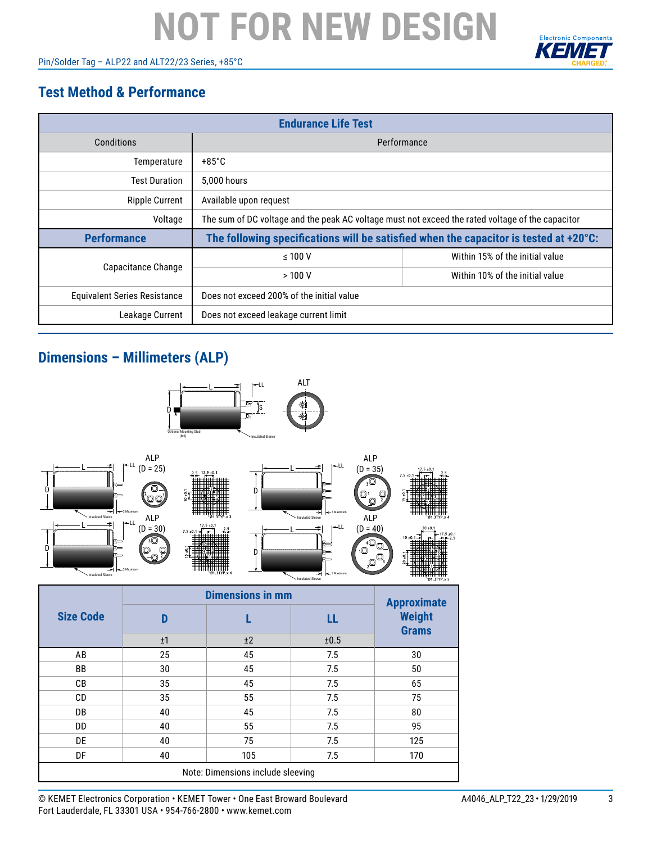Pin/Solder Tag – ALP22 and ALT22/23 Series, +85°C



### **Test Method & Performance**

| <b>Endurance Life Test</b>          |                                                                                                  |                                 |  |  |  |
|-------------------------------------|--------------------------------------------------------------------------------------------------|---------------------------------|--|--|--|
| Conditions                          | Performance                                                                                      |                                 |  |  |  |
| Temperature                         | $+85^{\circ}$ C                                                                                  |                                 |  |  |  |
| <b>Test Duration</b>                | 5.000 hours                                                                                      |                                 |  |  |  |
| <b>Ripple Current</b>               | Available upon request                                                                           |                                 |  |  |  |
| Voltage                             | The sum of DC voltage and the peak AC voltage must not exceed the rated voltage of the capacitor |                                 |  |  |  |
| <b>Performance</b>                  | The following specifications will be satisfied when the capacitor is tested at +20°C:            |                                 |  |  |  |
|                                     | $\leq 100$ V                                                                                     | Within 15% of the initial value |  |  |  |
| Capacitance Change                  | >100V                                                                                            | Within 10% of the initial value |  |  |  |
| <b>Equivalent Series Resistance</b> | Does not exceed 200% of the initial value                                                        |                                 |  |  |  |
| Leakage Current                     | Does not exceed leakage current limit                                                            |                                 |  |  |  |

#### **Dimensions – Millimeters (ALP)**



© KEMET Electronics Corporation • KEMET Tower • One East Broward Boulevard A4046\_ALP\_T22\_23 • 1/29/2019 3 Fort Lauderdale, FL 33301 USA • 954-766-2800 • www.kemet.com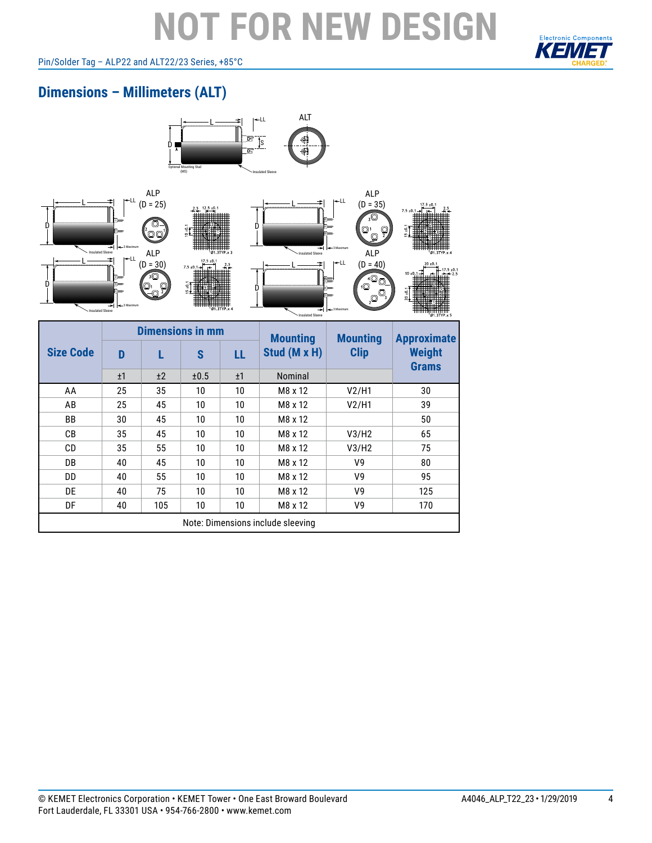### **Electronic Components**

#### Pin/Solder Tag – ALP22 and ALT22/23 Series, +85°C

### **Dimensions – Millimeters (ALT)**



Note: Dimensions include sleeving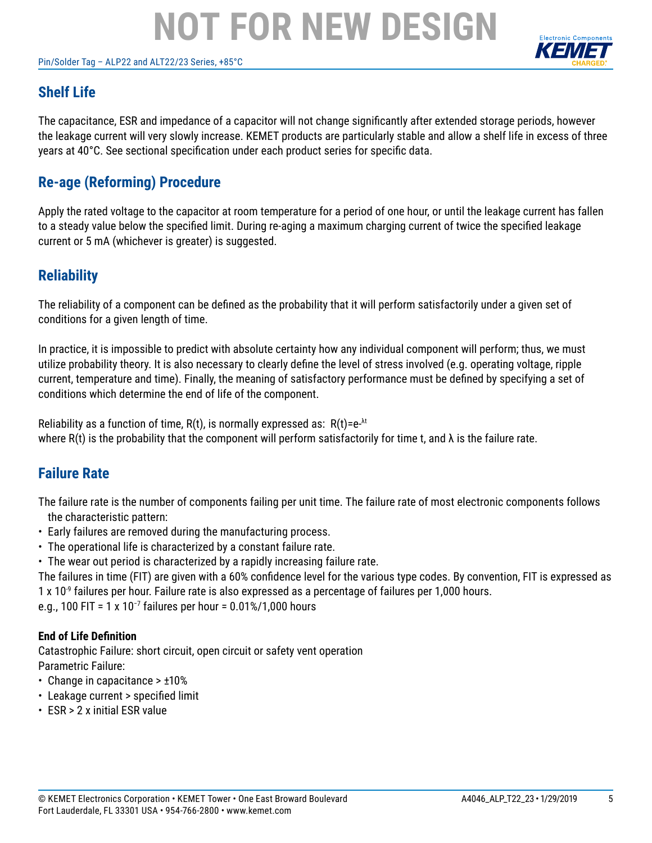#### Pin/Solder Tag – ALP22 and ALT22/23 Series, +85°C



### **Shelf Life**

The capacitance, ESR and impedance of a capacitor will not change significantly after extended storage periods, however the leakage current will very slowly increase. KEMET products are particularly stable and allow a shelf life in excess of three years at 40°C. See sectional specification under each product series for specific data.

#### **Re-age (Reforming) Procedure**

Apply the rated voltage to the capacitor at room temperature for a period of one hour, or until the leakage current has fallen to a steady value below the specified limit. During re-aging a maximum charging current of twice the specified leakage current or 5 mA (whichever is greater) is suggested.

#### **Reliability**

The reliability of a component can be defined as the probability that it will perform satisfactorily under a given set of conditions for a given length of time.

In practice, it is impossible to predict with absolute certainty how any individual component will perform; thus, we must utilize probability theory. It is also necessary to clearly define the level of stress involved (e.g. operating voltage, ripple current, temperature and time). Finally, the meaning of satisfactory performance must be defined by specifying a set of conditions which determine the end of life of the component.

Reliability as a function of time,  $R(t)$ , is normally expressed as:  $R(t)=e^{-\lambda t}$ where R(t) is the probability that the component will perform satisfactorily for time t, and  $\lambda$  is the failure rate.

#### **Failure Rate**

The failure rate is the number of components failing per unit time. The failure rate of most electronic components follows the characteristic pattern:

- Early failures are removed during the manufacturing process.
- The operational life is characterized by a constant failure rate.
- The wear out period is characterized by a rapidly increasing failure rate.

The failures in time (FIT) are given with a 60% confidence level for the various type codes. By convention, FIT is expressed as 1 x 10<sup>-9</sup> failures per hour. Failure rate is also expressed as a percentage of failures per 1,000 hours.

e.g., 100 FIT = 1 x 10−7 failures per hour = 0.01%/1,000 hours

#### **End of Life Definition**

Catastrophic Failure: short circuit, open circuit or safety vent operation Parametric Failure:

- Change in capacitance > ±10%
- Leakage current > specified limit
- ESR > 2 x initial ESR value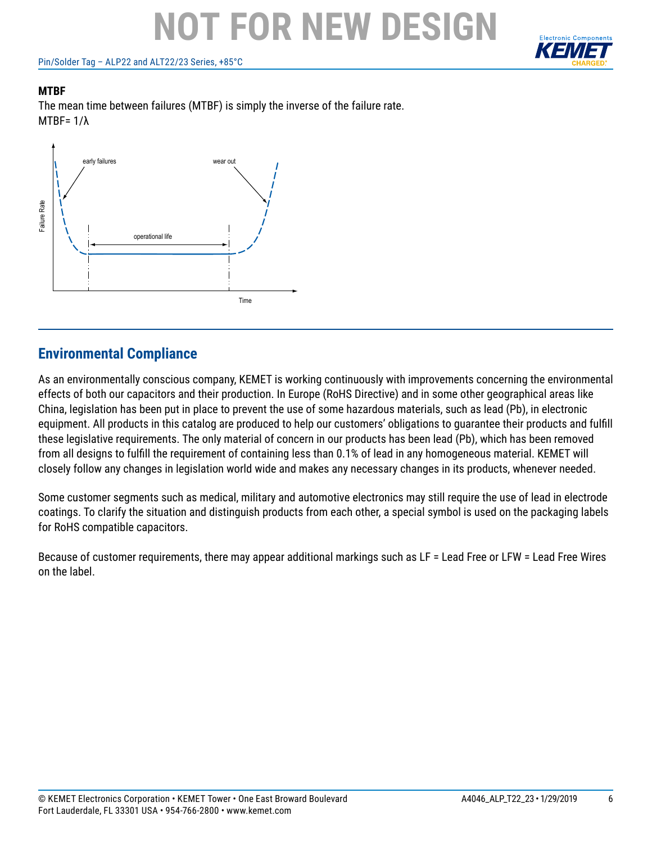Pin/Solder Tag – ALP22 and ALT22/23 Series, +85°C



#### **MTBF**

The mean time between failures (MTBF) is simply the inverse of the failure rate. MTBF= 1/λ



#### **Environmental Compliance**

As an environmentally conscious company, KEMET is working continuously with improvements concerning the environmental effects of both our capacitors and their production. In Europe (RoHS Directive) and in some other geographical areas like China, legislation has been put in place to prevent the use of some hazardous materials, such as lead (Pb), in electronic equipment. All products in this catalog are produced to help our customers' obligations to guarantee their products and fulfill these legislative requirements. The only material of concern in our products has been lead (Pb), which has been removed from all designs to fulfill the requirement of containing less than 0.1% of lead in any homogeneous material. KEMET will closely follow any changes in legislation world wide and makes any necessary changes in its products, whenever needed.

Some customer segments such as medical, military and automotive electronics may still require the use of lead in electrode coatings. To clarify the situation and distinguish products from each other, a special symbol is used on the packaging labels for RoHS compatible capacitors.

Because of customer requirements, there may appear additional markings such as LF = Lead Free or LFW = Lead Free Wires on the label.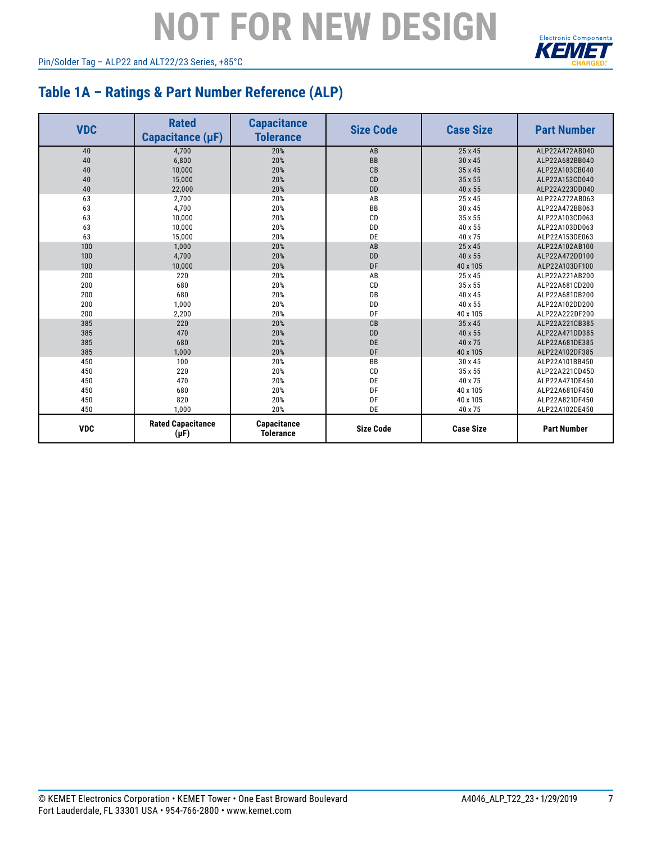Pin/Solder Tag – ALP22 and ALT22/23 Series, +85°C



#### **Table 1A – Ratings & Part Number Reference (ALP)**

| <b>VDC</b> | <b>Rated</b><br>Capacitance (µF)      | <b>Capacitance</b><br><b>Tolerance</b> | <b>Size Code</b> | <b>Case Size</b> | <b>Part Number</b> |
|------------|---------------------------------------|----------------------------------------|------------------|------------------|--------------------|
| 40         | 4,700                                 | 20%                                    | AB               | 25 x 45          | ALP22A472AB040     |
| 40         | 6,800                                 | 20%                                    | <b>BB</b>        | 30 x 45          | ALP22A682BB040     |
| 40         | 10,000                                | 20%                                    | CB               | 35 x 45          | ALP22A103CB040     |
| 40         | 15,000                                | 20%                                    | CD               | 35 x 55          | ALP22A153CD040     |
| 40         | 22,000                                | 20%                                    | <b>DD</b>        | 40 x 55          | ALP22A223DD040     |
| 63         | 2,700                                 | 20%                                    | AB               | 25 x 45          | ALP22A272AB063     |
| 63         | 4,700                                 | 20%                                    | <b>BB</b>        | 30 x 45          | ALP22A472BB063     |
| 63         | 10,000                                | 20%                                    | CD               | 35 x 55          | ALP22A103CD063     |
| 63         | 10,000                                | 20%                                    | <b>DD</b>        | 40 x 55          | ALP22A103DD063     |
| 63         | 15,000                                | 20%                                    | DE               | 40 x 75          | ALP22A153DE063     |
| 100        | 1,000                                 | 20%                                    | AB               | 25 x 45          | ALP22A102AB100     |
| 100        | 4,700                                 | 20%                                    | <b>DD</b>        | 40 x 55          | ALP22A472DD100     |
| 100        | 10,000                                | 20%                                    | DF               | 40 x 105         | ALP22A103DF100     |
| 200        | 220                                   | 20%                                    | AB               | 25 x 45          | ALP22A221AB200     |
| 200        | 680                                   | 20%                                    | CD               | 35 x 55          | ALP22A681CD200     |
| 200        | 680                                   | 20%                                    | DB               | 40 x 45          | ALP22A681DB200     |
| 200        | 1,000                                 | 20%                                    | <b>DD</b>        | 40 x 55          | ALP22A102DD200     |
| 200        | 2,200                                 | 20%                                    | DF               | 40 x 105         | ALP22A222DF200     |
| 385        | 220                                   | 20%                                    | CB               | 35 x 45          | ALP22A221CB385     |
| 385        | 470                                   | 20%                                    | <b>DD</b>        | 40 x 55          | ALP22A471DD385     |
| 385        | 680                                   | 20%                                    | DE               | 40 x 75          | ALP22A681DE385     |
| 385        | 1,000                                 | 20%                                    | DF               | 40 x 105         | ALP22A102DF385     |
| 450        | 100                                   | 20%                                    | <b>BB</b>        | 30 x 45          | ALP22A101BB450     |
| 450        | 220                                   | 20%                                    | CD               | 35 x 55          | ALP22A221CD450     |
| 450        | 470                                   | 20%                                    | DE               | 40 x 75          | ALP22A471DE450     |
| 450        | 680                                   | 20%                                    | DF               | 40 x 105         | ALP22A681DF450     |
| 450        | 820                                   | 20%                                    | DF               | 40 x 105         | ALP22A821DF450     |
| 450        | 1,000                                 | 20%                                    | DE               | 40 x 75          | ALP22A102DE450     |
| <b>VDC</b> | <b>Rated Capacitance</b><br>$(\mu F)$ | Capacitance<br><b>Tolerance</b>        | <b>Size Code</b> | <b>Case Size</b> | <b>Part Number</b> |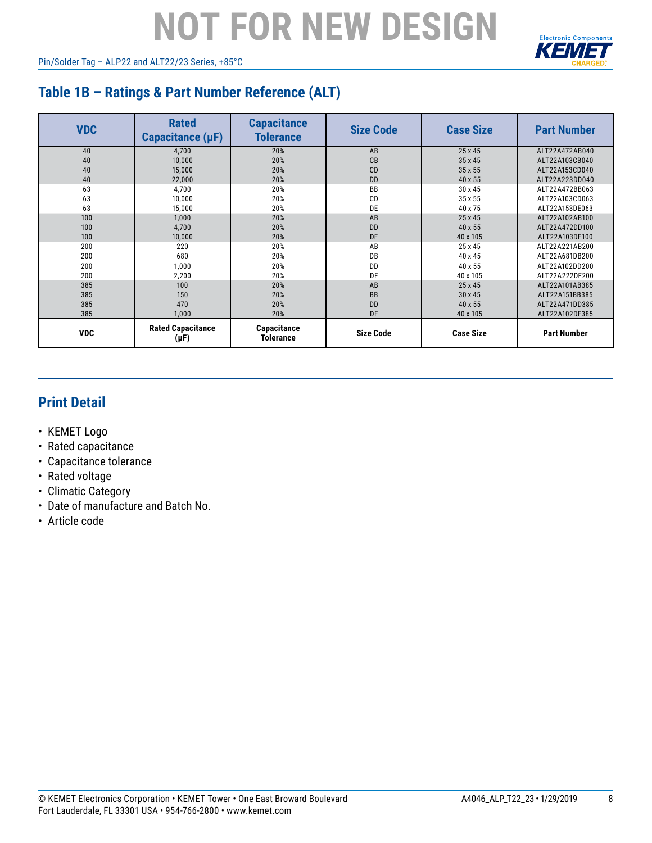Pin/Solder Tag – ALP22 and ALT22/23 Series, +85°C



### **Table 1B – Ratings & Part Number Reference (ALT)**

| <b>VDC</b> | <b>Rated</b><br>Capacitance (µF)      | <b>Capacitance</b><br><b>Tolerance</b> | <b>Size Code</b> | <b>Case Size</b> | <b>Part Number</b> |
|------------|---------------------------------------|----------------------------------------|------------------|------------------|--------------------|
| 40         | 4,700                                 | 20%                                    | AB               | 25 x 45          | ALT22A472AB040     |
| 40         | 10,000                                | 20%                                    | CB               | 35 x 45          | ALT22A103CB040     |
| 40         | 15,000                                | 20%                                    | CD               | 35 x 55          | ALT22A153CD040     |
| 40         | 22,000                                | 20%                                    | <b>DD</b>        | 40 x 55          | ALT22A223DD040     |
| 63         | 4.700                                 | 20%                                    | <b>BB</b>        | 30 x 45          | ALT22A472BB063     |
| 63         | 10,000                                | 20%                                    | CD               | 35 x 55          | ALT22A103CD063     |
| 63         | 15,000                                | 20%                                    | DE               | 40 x 75          | ALT22A153DE063     |
| 100        | 1,000                                 | 20%                                    | AB               | 25 x 45          | ALT22A102AB100     |
| 100        | 4,700                                 | 20%                                    | <b>DD</b>        | 40 x 55          | ALT22A472DD100     |
| 100        | 10,000                                | 20%                                    | DF               | 40 x 105         | ALT22A103DF100     |
| 200        | 220                                   | 20%                                    | AB               | 25 x 45          | ALT22A221AB200     |
| 200        | 680                                   | 20%                                    | DB               | 40 x 45          | ALT22A681DB200     |
| 200        | 1,000                                 | 20%                                    | DD               | 40 x 55          | ALT22A102DD200     |
| 200        | 2,200                                 | 20%                                    | DF               | 40 x 105         | ALT22A222DF200     |
| 385        | 100                                   | 20%                                    | AB               | 25 x 45          | ALT22A101AB385     |
| 385        | 150                                   | 20%                                    | <b>BB</b>        | 30 x 45          | ALT22A151BB385     |
| 385        | 470                                   | 20%                                    | <b>DD</b>        | 40 x 55          | ALT22A471DD385     |
| 385        | 1.000                                 | 20%                                    | DF               | 40 x 105         | ALT22A102DF385     |
| <b>VDC</b> | <b>Rated Capacitance</b><br>$(\mu F)$ | Capacitance<br><b>Tolerance</b>        | <b>Size Code</b> | <b>Case Size</b> | <b>Part Number</b> |

### **Print Detail**

- KEMET Logo
- Rated capacitance
- Capacitance tolerance
- Rated voltage
- Climatic Category
- Date of manufacture and Batch No.
- Article code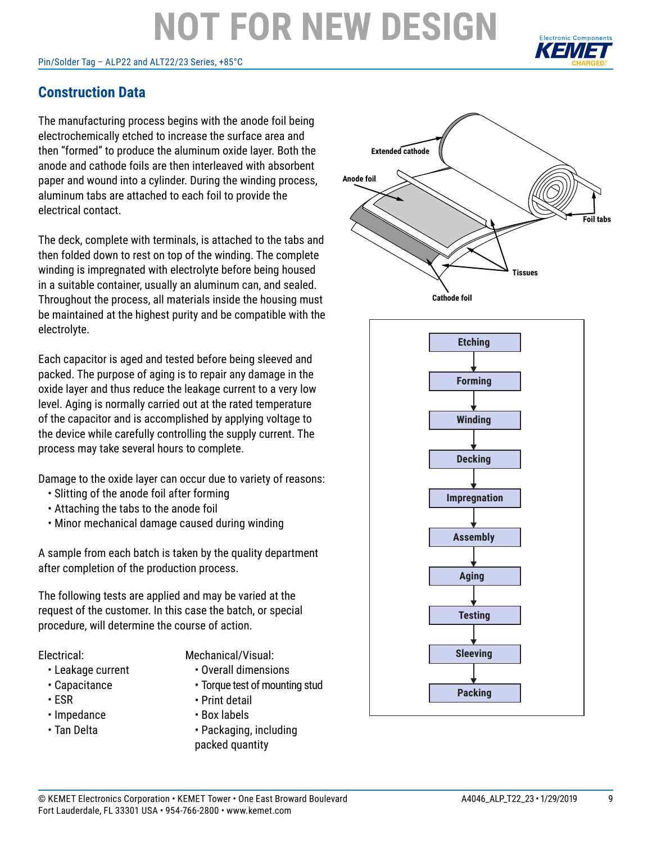#### Pin/Solder Tag – ALP22 and ALT22/23 Series, +85°C



#### **Construction Data**

The manufacturing process begins with the anode foil being electrochemically etched to increase the surface area and then "formed" to produce the aluminum oxide layer. Both the anode and cathode foils are then interleaved with absorbent paper and wound into a cylinder. During the winding process, aluminum tabs are attached to each foil to provide the electrical contact.

The deck, complete with terminals, is attached to the tabs and then folded down to rest on top of the winding. The complete winding is impregnated with electrolyte before being housed in a suitable container, usually an aluminum can, and sealed. Throughout the process, all materials inside the housing must be maintained at the highest purity and be compatible with the electrolyte.

Each capacitor is aged and tested before being sleeved and packed. The purpose of aging is to repair any damage in the oxide layer and thus reduce the leakage current to a very low level. Aging is normally carried out at the rated temperature of the capacitor and is accomplished by applying voltage to the device while carefully controlling the supply current. The process may take several hours to complete.

Damage to the oxide layer can occur due to variety of reasons:

- Slitting of the anode foil after forming
- Attaching the tabs to the anode foil
- Minor mechanical damage caused during winding

A sample from each batch is taken by the quality department after completion of the production process.

The following tests are applied and may be varied at the request of the customer. In this case the batch, or special procedure, will determine the course of action.

Electrical:

- Leakage current
- Capacitance
- ESR
- Impedance
- Tan Delta

Mechanical/Visual:

- Overall dimensions
- Torque test of mounting stud
- Print detail
- Box labels
- Packaging, including packed quantity